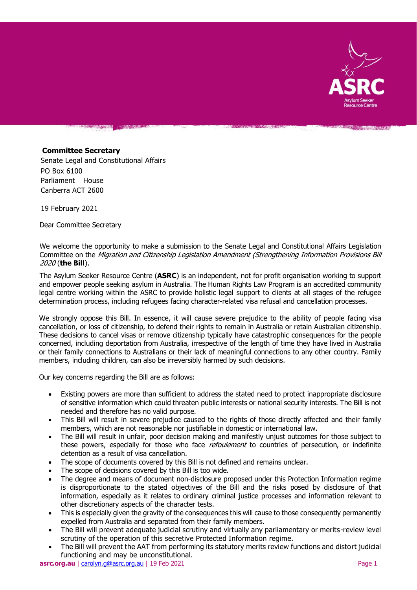

**CONTRACTOR** 

#### **Committee Secretary**

Senate Legal and Constitutional Affairs PO Box 6100 Parliament House Canberra ACT 2600

19 February 2021

Dear Committee Secretary

We welcome the opportunity to make a submission to the Senate Legal and Constitutional Affairs Legislation Committee on the Migration and Citizenship Legislation Amendment (Strengthening Information Provisions Bill 2020 (**the Bill**).

The Asylum Seeker Resource Centre (**ASRC**) is an independent, not for profit organisation working to support and empower people seeking asylum in Australia. The Human Rights Law Program is an accredited community legal centre working within the ASRC to provide holistic legal support to clients at all stages of the refugee determination process, including refugees facing character-related visa refusal and cancellation processes.

We strongly oppose this Bill. In essence, it will cause severe prejudice to the ability of people facing visa cancellation, or loss of citizenship, to defend their rights to remain in Australia or retain Australian citizenship. These decisions to cancel visas or remove citizenship typically have catastrophic consequences for the people concerned, including deportation from Australia, irrespective of the length of time they have lived in Australia or their family connections to Australians or their lack of meaningful connections to any other country. Family members, including children, can also be irreversibly harmed by such decisions.

Our key concerns regarding the Bill are as follows:

- Existing powers are more than sufficient to address the stated need to protect inappropriate disclosure of sensitive information which could threaten public interests or national security interests. The Bill is not needed and therefore has no valid purpose.
- This Bill will result in severe prejudice caused to the rights of those directly affected and their family members, which are not reasonable nor justifiable in domestic or international law.
- The Bill will result in unfair, poor decision making and manifestly unjust outcomes for those subject to these powers, especially for those who face *refoulement* to countries of persecution, or indefinite detention as a result of visa cancellation.
- The scope of documents covered by this Bill is not defined and remains unclear.
- The scope of decisions covered by this Bill is too wide.
- The degree and means of document non-disclosure proposed under this Protection Information regime is disproportionate to the stated objectives of the Bill and the risks posed by disclosure of that information, especially as it relates to ordinary criminal justice processes and information relevant to other discretionary aspects of the character tests.
- This is especially given the gravity of the consequences this will cause to those consequently permanently expelled from Australia and separated from their family members.
- The Bill will prevent adequate judicial scrutiny and virtually any parliamentary or merits-review level scrutiny of the operation of this secretive Protected Information regime.
- The Bill will prevent the AAT from performing its statutory merits review functions and distort judicial functioning and may be unconstitutional.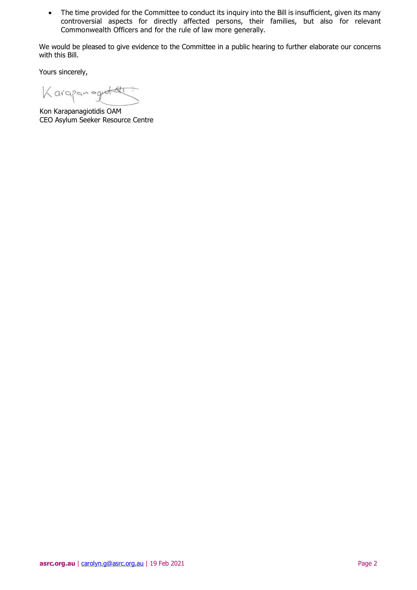• The time provided for the Committee to conduct its inquiry into the Bill is insufficient, given its many controversial aspects for directly affected persons, their families, but also for relevant Commonwealth Officers and for the rule of law more generally.

We would be pleased to give evidence to the Committee in a public hearing to further elaborate our concerns with this Bill.

Yours sincerely,

Karapan ogyatott

Kon Karapanagiotidis OAM CEO Asylum Seeker Resource Centre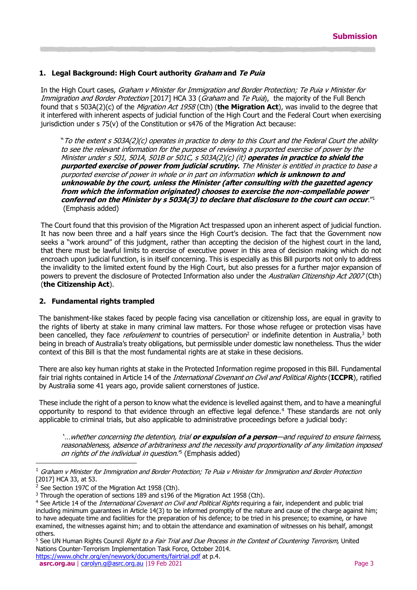# **1. Legal Background: High Court authority Graham and Te Puia**

In the High Court cases, Graham v Minister for Immigration and Border Protection; Te Puia v Minister for Immigration and Border Protection [2017] HCA 33 (Graham and Te Puia), the majority of the Full Bench found that s 503A(2)(c) of the Migration Act 1958 (Cth) (**the Migration Act**), was invalid to the degree that it interfered with inherent aspects of judicial function of the High Court and the Federal Court when exercising jurisdiction under s 75(v) of the Constitution or s476 of the Migration Act because:

"To the extent s 503A(2)(c) operates in practice to deny to this Court and the Federal Court the ability to see the relevant information for the purpose of reviewing a purported exercise of power by the Minister under s 501, 501A, 501B or 501C, s 503A(2)(c) (it) **operates in practice to shield the purported exercise of power from judicial scrutiny.** The Minister is entitled in practice to base a purported exercise of power in whole or in part on information **which is unknown to and unknowable by the court, unless the Minister (after consulting with the gazetted agency from which the information originated) chooses to exercise the non-compellable power conferred on the Minister by s 503A(3) to declare that disclosure to the court can occur**." 1 (Emphasis added)

The Court found that this provision of the Migration Act trespassed upon an inherent aspect of judicial function. It has now been three and a half years since the High Court's decision. The fact that the Government now seeks a "work around" of this judgment, rather than accepting the decision of the highest court in the land, that there must be lawful limits to exercise of executive power in this area of decision making which do not encroach upon judicial function, is in itself concerning. This is especially as this Bill purports not only to address the invalidity to the limited extent found by the High Court, but also presses for a further major expansion of powers to prevent the disclosure of Protected Information also under the Australian Citizenship Act 2007 (Cth) (**the Citizenship Act**).

#### **2. Fundamental rights trampled**

The banishment-like stakes faced by people facing visa cancellation or citizenship loss, are equal in gravity to the rights of liberty at stake in many criminal law matters. For those whose refugee or protection visas have been cancelled, they face *refoulement* to countries of persecution<sup>2</sup> or indefinite detention in Australia,<sup>3</sup> both being in breach of Australia's treaty obligations, but permissible under domestic law nonetheless. Thus the wider context of this Bill is that the most fundamental rights are at stake in these decisions.

There are also key human rights at stake in the Protected Information regime proposed in this Bill. Fundamental fair trial rights contained in Article 14 of the International Covenant on Civil and Political Rights (**ICCPR**), ratified by Australia some 41 years ago, provide salient cornerstones of justice.

These include the right of a person to know what the evidence is levelled against them, and to have a meaningful opportunity to respond to that evidence through an effective legal defence.<sup>4</sup> These standards are not only applicable to criminal trials, but also applicable to administrative proceedings before a judicial body:

'…whether concerning the detention, trial **or expulsion of a person**—and required to ensure fairness, reasonableness, absence of arbitrariness and the necessity and proportionality of any limitation imposed on rights of the individual in question.<sup>'5</sup> (Emphasis added)

j

<sup>5</sup> See UN Human Rights Council *Right to a Fair Trial and Due Process in the Context of Countering Terrorism*, United Nations Counter-Terrorism Implementation Task Force, October 2014.

<sup>1</sup> Graham v Minister for Immigration and Border Protection; Te Puia v Minister for Immigration and Border Protection [2017] HCA 33, at 53.

See Section 197C of the Migration Act 1958 (Cth).

<sup>&</sup>lt;sup>3</sup> Through the operation of sections 189 and s196 of the Migration Act 1958 (Cth).

<sup>&</sup>lt;sup>4</sup> See Article 14 of the *International Covenant on Civil and Political Rights* requiring a fair, independent and public trial including minimum guarantees in Article 14(3) to be informed promptly of the nature and cause of the charge against him; to have adequate time and facilities for the preparation of his defence; to be tried in his presence; to examine, or have examined, the witnesses against him; and to obtain the attendance and examination of witnesses on his behalf, amongst others.

<https://www.ohchr.org/en/newyork/documents/fairtrial.pdf> at p.4.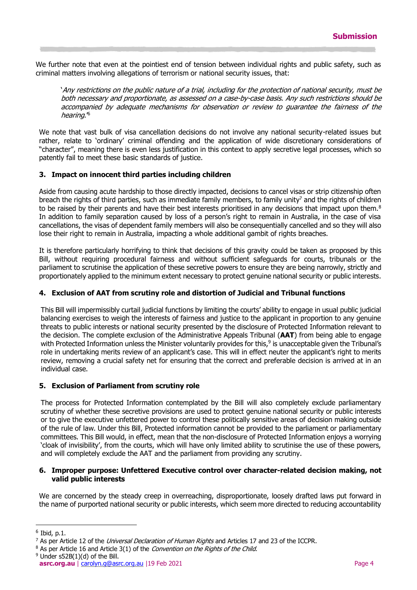We further note that even at the pointiest end of tension between individual rights and public safety, such as criminal matters involving allegations of terrorism or national security issues, that:

'Any restrictions on the public nature of a trial, including for the protection of national security, must be both necessary and proportionate, as assessed on a case-by-case basis. Any such restrictions should be accompanied by adequate mechanisms for observation or review to guarantee the fairness of the hearing.'<sup>6</sup>

We note that vast bulk of visa cancellation decisions do not involve any national security-related issues but rather, relate to 'ordinary' criminal offending and the application of wide discretionary considerations of "character", meaning there is even less justification in this context to apply secretive legal processes, which so patently fail to meet these basic standards of justice.

# **3. Impact on innocent third parties including children**

Aside from causing acute hardship to those directly impacted, decisions to cancel visas or strip citizenship often breach the rights of third parties, such as immediate family members, to family unity<sup>7</sup> and the rights of children to be raised by their parents and have their best interests prioritised in any decisions that impact upon them. $8$ In addition to family separation caused by loss of a person's right to remain in Australia, in the case of visa cancellations, the visas of dependent family members will also be consequentially cancelled and so they will also lose their right to remain in Australia, impacting a whole additional gambit of rights breaches.

It is therefore particularly horrifying to think that decisions of this gravity could be taken as proposed by this Bill, without requiring procedural fairness and without sufficient safeguards for courts, tribunals or the parliament to scrutinise the application of these secretive powers to ensure they are being narrowly, strictly and proportionately applied to the minimum extent necessary to protect genuine national security or public interests.

### **4. Exclusion of AAT from scrutiny role and distortion of Judicial and Tribunal functions**

This Bill will impermissibly curtail judicial functions by limiting the courts' ability to engage in usual public judicial balancing exercises to weigh the interests of fairness and justice to the applicant in proportion to any genuine threats to public interests or national security presented by the disclosure of Protected Information relevant to the decision. The complete exclusion of the Administrative Appeals Tribunal (**AAT**) from being able to engage with Protected Information unless the Minister voluntarily provides for this,<sup>9</sup> is unacceptable given the Tribunal's role in undertaking merits review of an applicant's case. This will in effect neuter the applicant's right to merits review, removing a crucial safety net for ensuring that the correct and preferable decision is arrived at in an individual case.

#### **5. Exclusion of Parliament from scrutiny role**

The process for Protected Information contemplated by the Bill will also completely exclude parliamentary scrutiny of whether these secretive provisions are used to protect genuine national security or public interests or to give the executive unfettered power to control these politically sensitive areas of decision making outside of the rule of law. Under this Bill, Protected information cannot be provided to the parliament or parliamentary committees. This Bill would, in effect, mean that the non-disclosure of Protected Information enjoys a worrying 'cloak of invisibility', from the courts, which will have only limited ability to scrutinise the use of these powers, and will completely exclude the AAT and the parliament from providing any scrutiny.

#### **6. Improper purpose: Unfettered Executive control over character-related decision making, not valid public interests**

We are concerned by the steady creep in overreaching, disproportionate, loosely drafted laws put forward in the name of purported national security or public interests, which seem more directed to reducing accountability

j

 $6$  Ibid, p.1.

<sup>&</sup>lt;sup>7</sup> As per Article 12 of the *Universal Declaration of Human Rights* and Articles 17 and 23 of the ICCPR.

<sup>&</sup>lt;sup>8</sup> As per Article 16 and Article 3(1) of the *Convention on the Rights of the Child.* 

 $9$  Under s52B(1)(d) of the Bill.

**[asrc.org.au](http://www.asrc.org.au/)** | [carolyn.g@asrc.org.au](mailto:carolyn.g@asrc.org.au) |19 Feb 2021 Page 4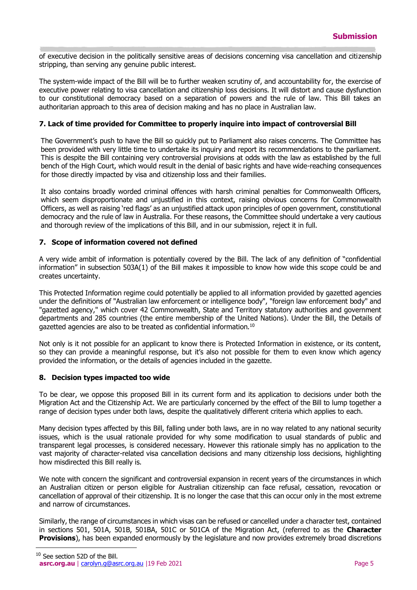of executive decision in the politically sensitive areas of decisions concerning visa cancellation and citizenship stripping, than serving any genuine public interest.

The system-wide impact of the Bill will be to further weaken scrutiny of, and accountability for, the exercise of executive power relating to visa cancellation and citizenship loss decisions. It will distort and cause dysfunction to our constitutional democracy based on a separation of powers and the rule of law. This Bill takes an authoritarian approach to this area of decision making and has no place in Australian law.

### **7. Lack of time provided for Committee to properly inquire into impact of controversial Bill**

The Government's push to have the Bill so quickly put to Parliament also raises concerns. The Committee has been provided with very little time to undertake its inquiry and report its recommendations to the parliament. This is despite the Bill containing very controversial provisions at odds with the law as established by the full bench of the High Court, which would result in the denial of basic rights and have wide-reaching consequences for those directly impacted by visa and citizenship loss and their families.

It also contains broadly worded criminal offences with harsh criminal penalties for Commonwealth Officers, which seem disproportionate and unjustified in this context, raising obvious concerns for Commonwealth Officers, as well as raising 'red flags' as an unjustified attack upon principles of open government, constitutional democracy and the rule of law in Australia. For these reasons, the Committee should undertake a very cautious and thorough review of the implications of this Bill, and in our submission, reject it in full.

# **7. Scope of information covered not defined**

A very wide ambit of information is potentially covered by the Bill. The lack of any definition of "confidential information" in subsection 503A(1) of the Bill makes it impossible to know how wide this scope could be and creates uncertainty.

This Protected Information regime could potentially be applied to all information provided by gazetted agencies under the definitions of "Australian law enforcement or intelligence body", "foreign law enforcement body" and "gazetted agency," which cover 42 Commonwealth, State and Territory statutory authorities and government departments and 285 countries (the entire membership of the United Nations). Under the Bill, the Details of gazetted agencies are also to be treated as confidential information.<sup>10</sup>

Not only is it not possible for an applicant to know there is Protected Information in existence, or its content, so they can provide a meaningful response, but it's also not possible for them to even know which agency provided the information, or the details of agencies included in the gazette.

#### **8. Decision types impacted too wide**

To be clear, we oppose this proposed Bill in its current form and its application to decisions under both the Migration Act and the Citizenship Act. We are particularly concerned by the effect of the Bill to lump together a range of decision types under both laws, despite the qualitatively different criteria which applies to each.

Many decision types affected by this Bill, falling under both laws, are in no way related to any national security issues, which is the usual rationale provided for why some modification to usual standards of public and transparent legal processes, is considered necessary. However this rationale simply has no application to the vast majority of character-related visa cancellation decisions and many citizenship loss decisions, highlighting how misdirected this Bill really is.

We note with concern the significant and controversial expansion in recent years of the circumstances in which an Australian citizen or person eligible for Australian citizenship can face refusal, cessation, revocation or cancellation of approval of their citizenship. It is no longer the case that this can occur only in the most extreme and narrow of circumstances.

Similarly, the range of circumstances in which visas can be refused or cancelled under a character test, contained in sections 501, 501A, 501B, 501BA, 501C or 501CA of the Migration Act, (referred to as the **Character Provisions**), has been expanded enormously by the legislature and now provides extremely broad discretions

j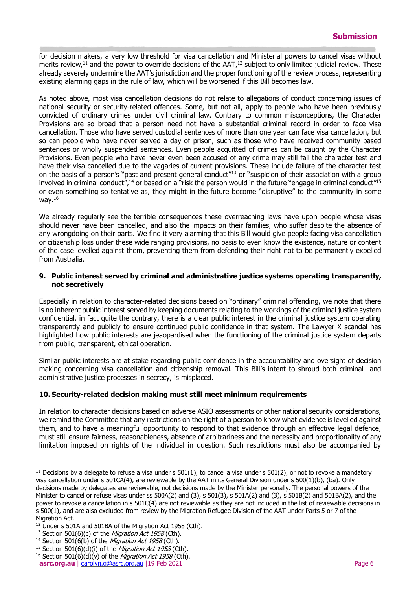for decision makers, a very low threshold for visa cancellation and Ministerial powers to cancel visas without merits review, $11$  and the power to override decisions of the AAT, $12$  subject to only limited judicial review. These already severely undermine the AAT's jurisdiction and the proper functioning of the review process, representing existing alarming gaps in the rule of law, which will be worsened if this Bill becomes law.

As noted above, most visa cancellation decisions do not relate to allegations of conduct concerning issues of national security or security-related offences. Some, but not all, apply to people who have been previously convicted of ordinary crimes under civil criminal law. Contrary to common misconceptions, the Character Provisions are so broad that a person need not have a substantial criminal record in order to face visa cancellation. Those who have served custodial sentences of more than one year can face visa cancellation, but so can people who have never served a day of prison, such as those who have received community based sentences or wholly suspended sentences. Even people acquitted of crimes can be caught by the Character Provisions. Even people who have never even been accused of any crime may still fail the character test and have their visa cancelled due to the vagaries of current provisions. These include failure of the character test on the basis of a person's "past and present general conduct"<sup>13</sup> or "suspicion of their association with a group involved in criminal conduct",<sup>14</sup> or based on a "risk the person would in the future "engage in criminal conduct"<sup>15</sup> or even something so tentative as, they might in the future become "disruptive" to the community in some way. 16

We already regularly see the terrible consequences these overreaching laws have upon people whose visas should never have been cancelled, and also the impacts on their families, who suffer despite the absence of any wrongdoing on their parts. We find it very alarming that this Bill would give people facing visa cancellation or citizenship loss under these wide ranging provisions, no basis to even know the existence, nature or content of the case levelled against them, preventing them from defending their right not to be permanently expelled from Australia.

### **9. Public interest served by criminal and administrative justice systems operating transparently, not secretively**

Especially in relation to character-related decisions based on "ordinary" criminal offending, we note that there is no inherent public interest served by keeping documents relating to the workings of the criminal justice system confidential, in fact quite the contrary, there is a clear public interest in the criminal justice system operating transparently and publicly to ensure continued public confidence in that system. The Lawyer X scandal has highlighted how public interests are jeaopardised when the functioning of the criminal justice system departs from public, transparent, ethical operation.

Similar public interests are at stake regarding public confidence in the accountability and oversight of decision making concerning visa cancellation and citizenship removal. This Bill's intent to shroud both criminal and administrative justice processes in secrecy, is misplaced.

# **10. Security-related decision making must still meet minimum requirements**

In relation to character decisions based on adverse ASIO assessments or other national security considerations, we remind the Committee that any restrictions on the right of a person to know what evidence is levelled against them, and to have a meaningful opportunity to respond to that evidence through an effective legal defence, must still ensure fairness, reasonableness, absence of arbitrariness and the necessity and proportionality of any limitation imposed on rights of the individual in question. Such restrictions must also be accompanied by

 $\overline{a}$ 

 $11$  Decisions by a delegate to refuse a visa under s  $501(1)$ , to cancel a visa under s  $501(2)$ , or not to revoke a mandatory visa cancellation under s 501CA(4), are reviewable by the AAT in its General Division under s 500(1)(b), (ba). Only decisions made by delegates are reviewable, not decisions made by the Minister personally. The personal powers of the Minister to cancel or refuse visas under ss  $500A(2)$  and  $(3)$ , s  $501A(2)$  and  $(3)$ , s  $501B(2)$  and  $501BA(2)$ , and the power to revoke a cancellation in s 501C(4) are not reviewable as they are not included in the list of reviewable decisions in s 500(1), and are also excluded from review by the Migration Refugee Division of the AAT under Parts 5 or 7 of the Migration Act.

<sup>&</sup>lt;sup>12</sup> Under s 501A and 501BA of the Migration Act 1958 (Cth).

 $13$  Section 501(6)(c) of the Migration Act 1958 (Cth).

<sup>&</sup>lt;sup>14</sup> Section 501(6(b) of the *Migration Act 1958* (Cth).

<sup>&</sup>lt;sup>15</sup> Section 501(6)(d)(i) of the *Migration Act 1958* (Cth).

<sup>&</sup>lt;sup>16</sup> Section 501(6)(d)(v) of the *Migration Act 1958* (Cth).

**[asrc.org.au](http://www.asrc.org.au/)** | [carolyn.g@asrc.org.au](mailto:carolyn.g@asrc.org.au) |19 Feb 2021 **Page 6** Page 6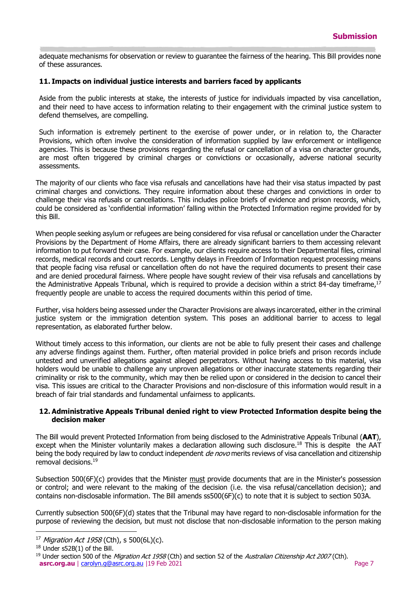adequate mechanisms for observation or review to guarantee the fairness of the hearing. This Bill provides none of these assurances.

#### **11. Impacts on individual justice interests and barriers faced by applicants**

Aside from the public interests at stake, the interests of justice for individuals impacted by visa cancellation, and their need to have access to information relating to their engagement with the criminal justice system to defend themselves, are compelling.

Such information is extremely pertinent to the exercise of power under, or in relation to, the Character Provisions, which often involve the consideration of information supplied by law enforcement or intelligence agencies. This is because these provisions regarding the refusal or cancellation of a visa on character grounds, are most often triggered by criminal charges or convictions or occasionally, adverse national security assessments.

The majority of our clients who face visa refusals and cancellations have had their visa status impacted by past criminal charges and convictions. They require information about these charges and convictions in order to challenge their visa refusals or cancellations. This includes police briefs of evidence and prison records, which, could be considered as 'confidential information' falling within the Protected Information regime provided for by this Bill.

When people seeking asylum or refugees are being considered for visa refusal or cancellation under the Character Provisions by the Department of Home Affairs, there are already significant barriers to them accessing relevant information to put forward their case. For example, our clients require access to their Departmental files, criminal records, medical records and court records. Lengthy delays in Freedom of Information request processing means that people facing visa refusal or cancellation often do not have the required documents to present their case and are denied procedural fairness. Where people have sought review of their visa refusals and cancellations by the Administrative Appeals Tribunal, which is required to provide a decision within a strict 84-day timeframe, $17$ frequently people are unable to access the required documents within this period of time.

Further, visa holders being assessed under the Character Provisions are always incarcerated, either in the criminal justice system or the immigration detention system. This poses an additional barrier to access to legal representation, as elaborated further below.

Without timely access to this information, our clients are not be able to fully present their cases and challenge any adverse findings against them. Further, often material provided in police briefs and prison records include untested and unverified allegations against alleged perpetrators. Without having access to this material, visa holders would be unable to challenge any unproven allegations or other inaccurate statements regarding their criminality or risk to the community, which may then be relied upon or considered in the decision to cancel their visa. This issues are critical to the Character Provisions and non-disclosure of this information would result in a breach of fair trial standards and fundamental unfairness to applicants.

#### **12. Administrative Appeals Tribunal denied right to view Protected Information despite being the decision maker**

The Bill would prevent Protected Information from being disclosed to the Administrative Appeals Tribunal (**AAT**), except when the Minister voluntarily makes a declaration allowing such disclosure.<sup>18</sup> This is despite the AAT being the body required by law to conduct independent *de novo* merits reviews of visa cancellation and citizenship removal decisions.<sup>19</sup>

Subsection 500(6F)(c) provides that the Minister must provide documents that are in the Minister's possession or control; and were relevant to the making of the decision (i.e. the visa refusal/cancellation decision); and contains non-disclosable information. The Bill amends ss500(6F)(c) to note that it is subject to section 503A.

Currently subsection 500(6F)(d) states that the Tribunal may have regard to non-disclosable information for the purpose of reviewing the decision, but must not disclose that non-disclosable information to the person making

-

<sup>&</sup>lt;sup>17</sup> Migration Act 1958 (Cth), s 500(6L)(c).

<sup>18</sup> Under s52B(1) of the Bill.

**[asrc.org.au](http://www.asrc.org.au/)** | [carolyn.g@asrc.org.au](mailto:carolyn.g@asrc.org.au) |19 Feb 2021 Page 7 <sup>19</sup> Under section 500 of the *Migration Act 1958* (Cth) and section 52 of the *Australian Citizenship Act 2007* (Cth).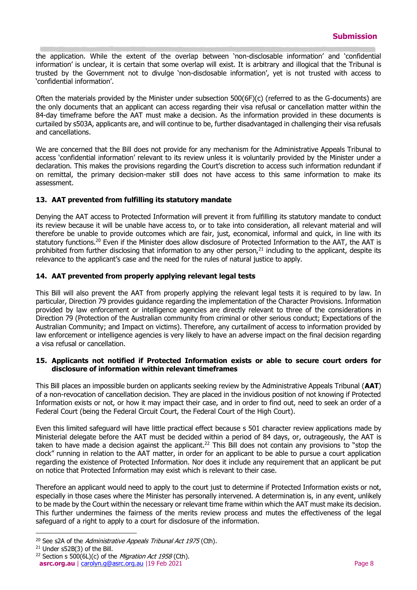the application. While the extent of the overlap between 'non-disclosable information' and 'confidential information' is unclear, it is certain that some overlap will exist. It is arbitrary and illogical that the Tribunal is trusted by the Government not to divulge 'non-disclosable information', yet is not trusted with access to 'confidential information'.

Often the materials provided by the Minister under subsection 500(6F)(c) (referred to as the G-documents) are the only documents that an applicant can access regarding their visa refusal or cancellation matter within the 84-day timeframe before the AAT must make a decision. As the information provided in these documents is curtailed by s503A, applicants are, and will continue to be, further disadvantaged in challenging their visa refusals and cancellations.

We are concerned that the Bill does not provide for any mechanism for the Administrative Appeals Tribunal to access 'confidential information' relevant to its review unless it is voluntarily provided by the Minister under a declaration. This makes the provisions regarding the Court's discretion to access such information redundant if on remittal, the primary decision-maker still does not have access to this same information to make its assessment.

# **13. AAT prevented from fulfilling its statutory mandate**

Denying the AAT access to Protected Information will prevent it from fulfilling its statutory mandate to conduct its review because it will be unable have access to, or to take into consideration, all relevant material and will therefore be unable to provide outcomes which are fair, just, economical, informal and quick, in line with its statutory functions.<sup>20</sup> Even if the Minister does allow disclosure of Protected Information to the AAT, the AAT is prohibited from further disclosing that information to any other person, $21$  including to the applicant, despite its relevance to the applicant's case and the need for the rules of natural justice to apply.

# **14. AAT prevented from properly applying relevant legal tests**

This Bill will also prevent the AAT from properly applying the relevant legal tests it is required to by law. In particular, Direction 79 provides guidance regarding the implementation of the Character Provisions. Information provided by law enforcement or intelligence agencies are directly relevant to three of the considerations in Direction 79 (Protection of the Australian community from criminal or other serious conduct; Expectations of the Australian Community; and Impact on victims). Therefore, any curtailment of access to information provided by law enforcement or intelligence agencies is very likely to have an adverse impact on the final decision regarding a visa refusal or cancellation.

#### **15. Applicants not notified if Protected Information exists or able to secure court orders for disclosure of information within relevant timeframes**

This Bill places an impossible burden on applicants seeking review by the Administrative Appeals Tribunal (**AAT**) of a non-revocation of cancellation decision. They are placed in the invidious position of not knowing if Protected Information exists or not, or how it may impact their case, and in order to find out, need to seek an order of a Federal Court (being the Federal Circuit Court, the Federal Court of the High Court).

Even this limited safeguard will have little practical effect because s 501 character review applications made by Ministerial delegate before the AAT must be decided within a period of 84 days, or, outrageously, the AAT is taken to have made a decision against the applicant.<sup>22</sup> This Bill does not contain any provisions to "stop the clock" running in relation to the AAT matter, in order for an applicant to be able to pursue a court application regarding the existence of Protected Information. Nor does it include any requirement that an applicant be put on notice that Protected Information may exist which is relevant to their case.

Therefore an applicant would need to apply to the court just to determine if Protected Information exists or not, especially in those cases where the Minister has personally intervened. A determination is, in any event, unlikely to be made by the Court within the necessary or relevant time frame within which the AAT must make its decision. This further undermines the fairness of the merits review process and mutes the effectiveness of the legal safeguard of a right to apply to a court for disclosure of the information.

j

<sup>&</sup>lt;sup>20</sup> See s2A of the *Administrative Appeals Tribunal Act 1975* (Cth).

<sup>21</sup> Under s52B(3) of the Bill.

<sup>&</sup>lt;sup>22</sup> Section s 500(6L)(c) of the *Migration Act 1958* (Cth).

**[asrc.org.au](http://www.asrc.org.au/)** | [carolyn.g@asrc.org.au](mailto:carolyn.g@asrc.org.au) |19 Feb 2021 **Page 8** Page 8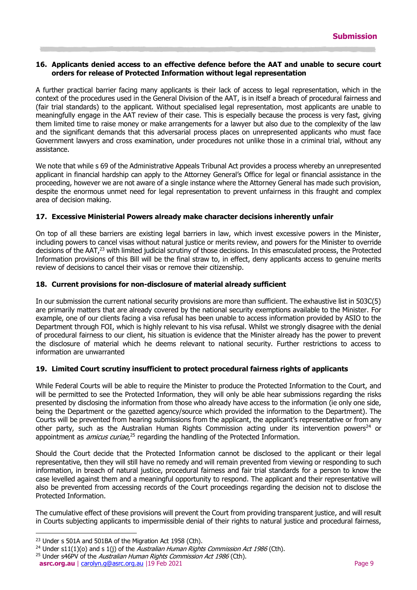#### **16. Applicants denied access to an effective defence before the AAT and unable to secure court orders for release of Protected Information without legal representation**

A further practical barrier facing many applicants is their lack of access to legal representation, which in the context of the procedures used in the General Division of the AAT, is in itself a breach of procedural fairness and (fair trial standards) to the applicant. Without specialised legal representation, most applicants are unable to meaningfully engage in the AAT review of their case. This is especially because the process is very fast, giving them limited time to raise money or make arrangements for a lawyer but also due to the complexity of the law and the significant demands that this adversarial process places on unrepresented applicants who must face Government lawyers and cross examination, under procedures not unlike those in a criminal trial, without any assistance.

We note that while s 69 of the Administrative Appeals Tribunal Act provides a process whereby an unrepresented applicant in financial hardship can apply to the Attorney General's Office for legal or financial assistance in the proceeding, however we are not aware of a single instance where the Attorney General has made such provision, despite the enormous unmet need for legal representation to prevent unfairness in this fraught and complex area of decision making.

# **17. Excessive Ministerial Powers already make character decisions inherently unfair**

On top of all these barriers are existing legal barriers in law, which invest excessive powers in the Minister, including powers to cancel visas without natural justice or merits review, and powers for the Minister to override decisions of the AAT,<sup>23</sup> with limited judicial scrutiny of those decisions. In this emasculated process, the Protected Information provisions of this Bill will be the final straw to, in effect, deny applicants access to genuine merits review of decisions to cancel their visas or remove their citizenship.

# **18. Current provisions for non-disclosure of material already sufficient**

In our submission the current national security provisions are more than sufficient. The exhaustive list in 503C(5) are primarily matters that are already covered by the national security exemptions available to the Minister. For example, one of our clients facing a visa refusal has been unable to access information provided by ASIO to the Department through FOI, which is highly relevant to his visa refusal. Whilst we strongly disagree with the denial of procedural fairness to our client, his situation is evidence that the Minister already has the power to prevent the disclosure of material which he deems relevant to national security. Further restrictions to access to information are unwarranted

# **19. Limited Court scrutiny insufficient to protect procedural fairness rights of applicants**

While Federal Courts will be able to require the Minister to produce the Protected Information to the Court, and will be permitted to see the Protected Information, they will only be able hear submissions regarding the risks presented by disclosing the information from those who already have access to the information (ie only one side, being the Department or the gazetted agency/source which provided the information to the Department). The Courts will be prevented from hearing submissions from the applicant, the applicant's representative or from any other party, such as the Australian Human Rights Commission acting under its intervention powers<sup>24</sup> or appointment as *amicus curiae*,<sup>25</sup> regarding the handling of the Protected Information.

Should the Court decide that the Protected Information cannot be disclosed to the applicant or their legal representative, then they will still have no remedy and will remain prevented from viewing or responding to such information, in breach of natural justice, procedural fairness and fair trial standards for a person to know the case levelled against them and a meaningful opportunity to respond. The applicant and their representative will also be prevented from accessing records of the Court proceedings regarding the decision not to disclose the Protected Information.

The cumulative effect of these provisions will prevent the Court from providing transparent justice, and will result in Courts subjecting applicants to impermissible denial of their rights to natural justice and procedural fairness,

j <sup>23</sup> Under s 501A and 501BA of the Migration Act 1958 (Cth).

<sup>&</sup>lt;sup>24</sup> Under s11(1)(o) and s 1(j) of the *Australian Human Rights Commission Act 1986* (Cth).

**[asrc.org.au](http://www.asrc.org.au/)** | [carolyn.g@asrc.org.au](mailto:carolyn.g@asrc.org.au) |19 Feb 2021 Page 9 <sup>25</sup> Under s46PV of the *Australian Human Rights Commission Act 1986* (Cth).